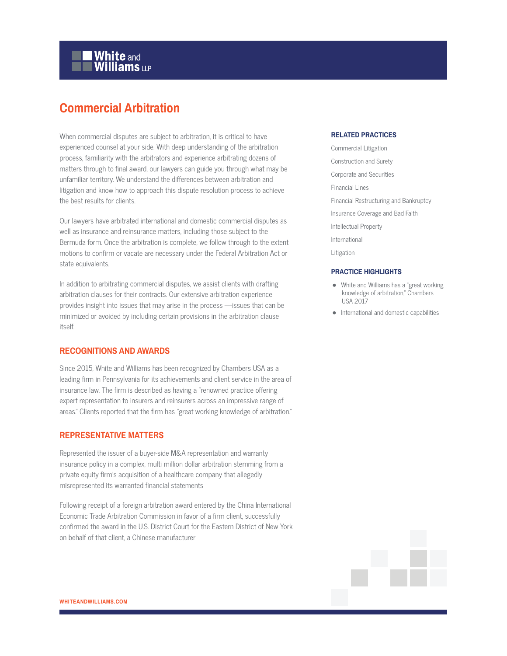# **White and Williams LLP**

# **Commercial Arbitration**

When commercial disputes are subject to arbitration, it is critical to have experienced counsel at your side. With deep understanding of the arbitration process, familiarity with the arbitrators and experience arbitrating dozens of matters through to final award, our lawyers can guide you through what may be unfamiliar territory. We understand the differences between arbitration and litigation and know how to approach this dispute resolution process to achieve the best results for clients.

Our lawyers have arbitrated international and domestic commercial disputes as well as insurance and reinsurance matters, including those subject to the Bermuda form. Once the arbitration is complete, we follow through to the extent motions to confirm or vacate are necessary under the Federal Arbitration Act or state equivalents.

In addition to arbitrating commercial disputes, we assist clients with drafting arbitration clauses for their contracts. Our extensive arbitration experience provides insight into issues that may arise in the process —issues that can be minimized or avoided by including certain provisions in the arbitration clause itself.

# **RECOGNITIONS AND AWARDS**

Since 2015, White and Williams has been recognized by Chambers USA as a leading firm in Pennsylvania for its achievements and client service in the area of insurance law. The firm is described as having a "renowned practice offering expert representation to insurers and reinsurers across an impressive range of areas." Clients reported that the firm has "great working knowledge of arbitration."

# **REPRESENTATIVE MATTERS**

Represented the issuer of a buyer-side M&A representation and warranty insurance policy in a complex, multi million dollar arbitration stemming from a private equity firm's acquisition of a healthcare company that allegedly misrepresented its warranted financial statements

Following receipt of a foreign arbitration award entered by the China International Economic Trade Arbitration Commission in favor of a firm client, successfully confirmed the award in the U.S. District Court for the Eastern District of New York on behalf of that client, a Chinese manufacturer

# **RELATED PRACTICES**

Commercial Litigation Construction and Surety Corporate and Securities Financial Lines Financial Restructuring and Bankruptcy Insurance Coverage and Bad Faith Intellectual Property International Litigation

### **PRACTICE HIGHLIGHTS**

- White and Williams has a "great working knowledge of arbitration," Chambers USA 2017
- International and domestic capabilities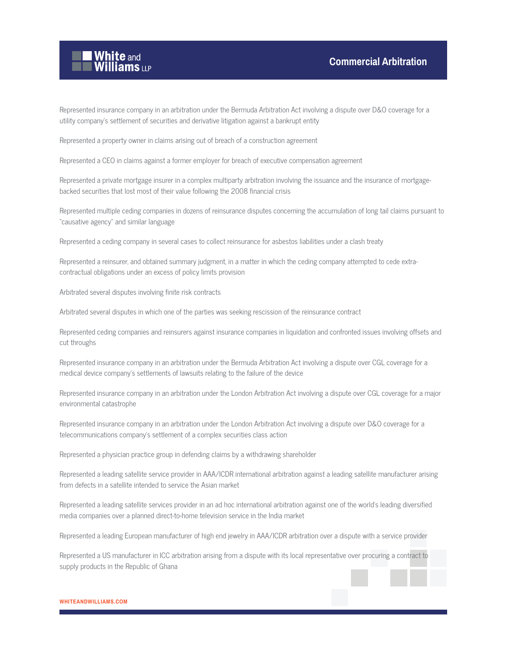

Represented insurance company in an arbitration under the Bermuda Arbitration Act involving a dispute over D&O coverage for a utility company's settlement of securities and derivative litigation against a bankrupt entity

Represented a property owner in claims arising out of breach of a construction agreement

Represented a CEO in claims against a former employer for breach of executive compensation agreement

Represented a private mortgage insurer in a complex multiparty arbitration involving the issuance and the insurance of mortgagebacked securities that lost most of their value following the 2008 financial crisis

Represented multiple ceding companies in dozens of reinsurance disputes concerning the accumulation of long tail claims pursuant to "causative agency" and similar language

Represented a ceding company in several cases to collect reinsurance for asbestos liabilities under a clash treaty

Represented a reinsurer, and obtained summary judgment, in a matter in which the ceding company attempted to cede extracontractual obligations under an excess of policy limits provision

Arbitrated several disputes involving finite risk contracts

Arbitrated several disputes in which one of the parties was seeking rescission of the reinsurance contract

Represented ceding companies and reinsurers against insurance companies in liquidation and confronted issues involving offsets and cut throughs

Represented insurance company in an arbitration under the Bermuda Arbitration Act involving a dispute over CGL coverage for a medical device company's settlements of lawsuits relating to the failure of the device

Represented insurance company in an arbitration under the London Arbitration Act involving a dispute over CGL coverage for a major environmental catastrophe

Represented insurance company in an arbitration under the London Arbitration Act involving a dispute over D&O coverage for a telecommunications company's settlement of a complex securities class action

Represented a physician practice group in defending claims by a withdrawing shareholder

Represented a leading satellite service provider in AAA/ICDR international arbitration against a leading satellite manufacturer arising from defects in a satellite intended to service the Asian market

Represented a leading satellite services provider in an ad hoc international arbitration against one of the world's leading diversified media companies over a planned direct-to-home television service in the India market

Represented a leading European manufacturer of high end jewelry in AAA/ICDR arbitration over a dispute with a service provider

Represented a US manufacturer in ICC arbitration arising from a dispute with its local representative over procuring a contract to supply products in the Republic of Ghana

#### **WHITEANDWILLIAMS.COM**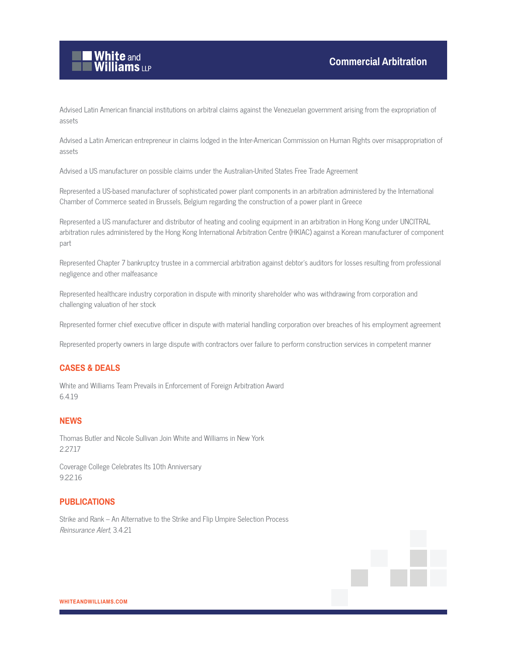

Advised Latin American financial institutions on arbitral claims against the Venezuelan government arising from the expropriation of assets

Advised a Latin American entrepreneur in claims lodged in the Inter-American Commission on Human Rights over misappropriation of assets

Advised a US manufacturer on possible claims under the Australian-United States Free Trade Agreement

Represented a US-based manufacturer of sophisticated power plant components in an arbitration administered by the International Chamber of Commerce seated in Brussels, Belgium regarding the construction of a power plant in Greece

Represented a US manufacturer and distributor of heating and cooling equipment in an arbitration in Hong Kong under UNCITRAL arbitration rules administered by the Hong Kong International Arbitration Centre (HKIAC) against a Korean manufacturer of component part

Represented Chapter 7 bankruptcy trustee in a commercial arbitration against debtor's auditors for losses resulting from professional negligence and other malfeasance

Represented healthcare industry corporation in dispute with minority shareholder who was withdrawing from corporation and challenging valuation of her stock

Represented former chief executive officer in dispute with material handling corporation over breaches of his employment agreement

Represented property owners in large dispute with contractors over failure to perform construction services in competent manner

# **CASES & DEALS**

White and Williams Team Prevails in Enforcement of Foreign Arbitration Award 6.4.19

# **NEWS**

Thomas Butler and Nicole Sullivan Join White and Williams in New York 2.27.17

Coverage College Celebrates Its 10th Anniversary 9.22.16

## **PUBLICATIONS**

Strike and Rank – An Alternative to the Strike and Flip Umpire Selection Process Reinsurance Alert, 3.4.21